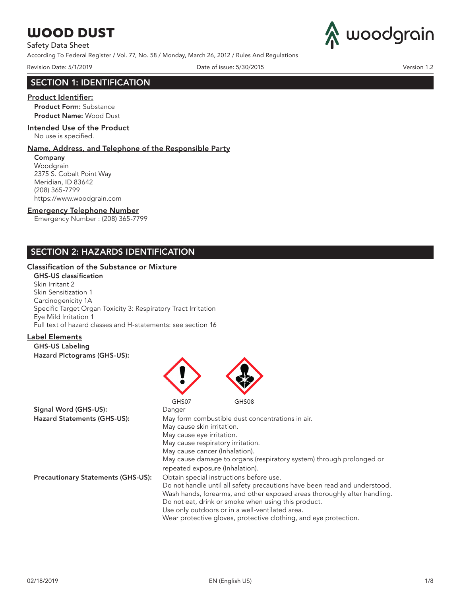Safety Data Sheet

According To Federal Register / Vol. 77, No. 58 / Monday, March 26, 2012 / Rules And Regulations

Revision Date: 5/1/2019 Date of issue: 5/30/2015 Version 1.2



## SECTION 1: IDENTIFICATION

### Product Identifier:

Product Form: Substance Product Name: Wood Dust

### Intended Use of the Product

No use is specified.

#### Name, Address, and Telephone of the Responsible Party

Company Woodgrain 2375 S. Cobalt Point Way Meridian, ID 83642 (208) 365-7799 https://www.woodgrain.com

### Emergency Telephone Number

Emergency Number : (208) 365-7799

# SECTION 2: HAZARDS IDENTIFICATION

### Classification of the Substance or Mixture

#### GHS-US classification

Skin Irritant 2 Skin Sensitization 1 Carcinogenicity 1A Specific Target Organ Toxicity 3: Respiratory Tract Irritation Eye Mild Irritation 1 Full text of hazard classes and H-statements: see section 16

## Label Elements

GHS-US Labeling Hazard Pictograms (GHS-US):



repeated exposure (Inhalation).

Precautionary Statements (GHS-US): Obtain special instructions before use

| Obtain opeeldi moti detiono belore doc.                                   |
|---------------------------------------------------------------------------|
| Do not handle until all safety precautions have been read and understood. |
| Wash hands, forearms, and other exposed areas thoroughly after handling.  |
| Do not eat, drink or smoke when using this product.                       |
| Use only outdoors or in a well-ventilated area.                           |
|                                                                           |

Wear protective gloves, protective clothing, and eye protection.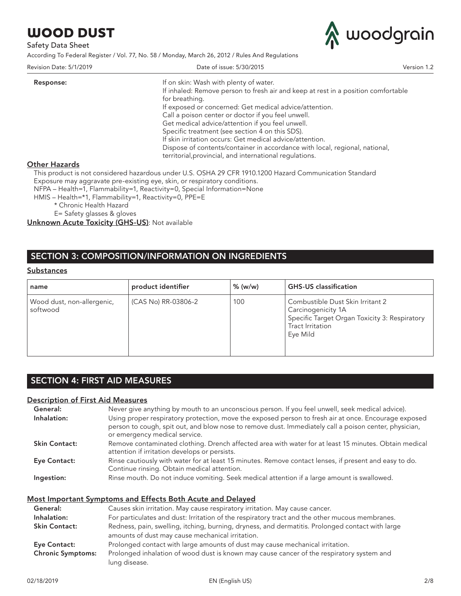Safety Data Sheet

According To Federal Register / Vol. 77, No. 58 / Monday, March 26, 2012 / Rules And Regulations



| Revision Date: 5/1/2019 | Date of issue: 5/30/2015                                                          | Version 1.2 |
|-------------------------|-----------------------------------------------------------------------------------|-------------|
| Response:               | If on skin: Wash with plenty of water.                                            |             |
|                         | If inhaled: Remove person to fresh air and keep at rest in a position comfortable |             |
|                         | for breathing.                                                                    |             |
|                         | If exposed or concerned: Get medical advice/attention.                            |             |
|                         | Call a poison center or doctor if you feel unwell.                                |             |
|                         | Get medical advice/attention if you feel unwell.                                  |             |
|                         | Specific treatment (see section 4 on this SDS).                                   |             |
|                         | If skin irritation occurs: Get medical advice/attention.                          |             |
|                         | Dispose of contents/container in accordance with local, regional, national,       |             |
|                         | territorial, provincial, and international regulations.                           |             |
| <b>Other Hazards</b>    |                                                                                   |             |

This product is not considered hazardous under U.S. OSHA 29 CFR 1910.1200 Hazard Communication Standard

Exposure may aggravate pre-existing eye, skin, or respiratory conditions. NFPA – Health=1, Flammability=1, Reactivity=0, Special Information=None

HMIS – Health=\*1, Flammability=1, Reactivity=0, PPE=E

\* Chronic Health Hazard

E= Safety glasses & gloves

Unknown Acute Toxicity (GHS-US): Not available

# SECTION 3: COMPOSITION/INFORMATION ON INGREDIENTS

#### **Substances**

| name                                   | product identifier  | $%$ (w/w) | <b>GHS-US</b> classification                                                                                                                   |
|----------------------------------------|---------------------|-----------|------------------------------------------------------------------------------------------------------------------------------------------------|
| Wood dust, non-allergenic,<br>softwood | (CAS No) RR-03806-2 | 100       | Combustible Dust Skin Irritant 2<br>Carcinogenicity 1A<br>Specific Target Organ Toxicity 3: Respiratory<br><b>Tract Irritation</b><br>Eve Mild |

# SECTION 4: FIRST AID MEASURES

### Description of First Aid Measures

| General:             | Never give anything by mouth to an unconscious person. If you feel unwell, seek medical advice).                                                                                                                                               |
|----------------------|------------------------------------------------------------------------------------------------------------------------------------------------------------------------------------------------------------------------------------------------|
| Inhalation:          | Using proper respiratory protection, move the exposed person to fresh air at once. Encourage exposed<br>person to cough, spit out, and blow nose to remove dust. Immediately call a poison center, physician,<br>or emergency medical service. |
| <b>Skin Contact:</b> | Remove contaminated clothing. Drench affected area with water for at least 15 minutes. Obtain medical<br>attention if irritation develops or persists.                                                                                         |
| Eye Contact:         | Rinse cautiously with water for at least 15 minutes. Remove contact lenses, if present and easy to do.<br>Continue rinsing. Obtain medical attention.                                                                                          |
| Ingestion:           | Rinse mouth. Do not induce vomiting. Seek medical attention if a large amount is swallowed.                                                                                                                                                    |

## Most Important Symptoms and Effects Both Acute and Delayed

| General:                 | Causes skin irritation. May cause respiratory irritation. May cause cancer.                                                                          |
|--------------------------|------------------------------------------------------------------------------------------------------------------------------------------------------|
| Inhalation:              | For particulates and dust: Irritation of the respiratory tract and the other mucous membranes.                                                       |
| <b>Skin Contact:</b>     | Redness, pain, swelling, itching, burning, dryness, and dermatitis. Prolonged contact with large<br>amounts of dust may cause mechanical irritation. |
| Eye Contact:             | Prolonged contact with large amounts of dust may cause mechanical irritation.                                                                        |
| <b>Chronic Symptoms:</b> | Prolonged inhalation of wood dust is known may cause cancer of the respiratory system and<br>lung disease.                                           |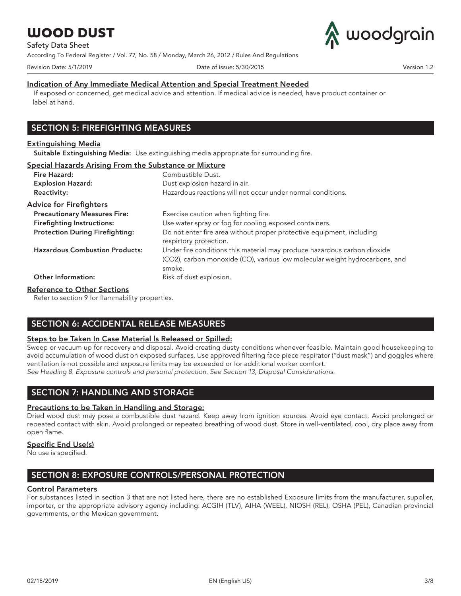Safety Data Sheet

According To Federal Register / Vol. 77, No. 58 / Monday, March 26, 2012 / Rules And Regulations





### Indication of Any Immediate Medical Attention and Special Treatment Needed

If exposed or concerned, get medical advice and attention. If medical advice is needed, have product container or label at hand.

# SECTION 5: FIREFIGHTING MEASURES

#### Extinguishing Media

Suitable Extinguishing Media: Use extinguishing media appropriate for surrounding fire.

#### Special Hazards Arising From the Substance or Mixture

| Fire Hazard:                           | Combustible Dust.                                                                                                                                                 |
|----------------------------------------|-------------------------------------------------------------------------------------------------------------------------------------------------------------------|
| <b>Explosion Hazard:</b>               | Dust explosion hazard in air.                                                                                                                                     |
| <b>Reactivity:</b>                     | Hazardous reactions will not occur under normal conditions.                                                                                                       |
| <b>Advice for Firefighters</b>         |                                                                                                                                                                   |
| <b>Precautionary Measures Fire:</b>    | Exercise caution when fighting fire.                                                                                                                              |
| <b>Firefighting Instructions:</b>      | Use water spray or fog for cooling exposed containers.                                                                                                            |
| <b>Protection During Firefighting:</b> | Do not enter fire area without proper protective equipment, including<br>respirtory protection.                                                                   |
| <b>Hazardous Combustion Products:</b>  | Under fire conditions this material may produce hazardous carbon dioxide<br>(CO2), carbon monoxide (CO), various low molecular weight hydrocarbons, and<br>smoke. |
| <b>Other Information:</b>              | Risk of dust explosion.                                                                                                                                           |

### Reference to Other Sections

Refer to section 9 for flammability properties.

## SECTION 6: ACCIDENTAL RELEASE MEASURES

### Steps to be Taken In Case Material Is Released or Spilled:

Sweep or vacuum up for recovery and disposal. Avoid creating dusty conditions whenever feasible. Maintain good housekeeping to avoid accumulation of wood dust on exposed surfaces. Use approved filtering face piece respirator ("dust mask") and goggles where ventilation is not possible and exposure limits may be exceeded or for additional worker comfort.

*See Heading 8. Exposure controls and personal protection. See Section 13, Disposal Considerations.*

# SECTION 7: HANDLING AND STORAGE

### Precautions to be Taken in Handling and Storage:

Dried wood dust may pose a combustible dust hazard. Keep away from ignition sources. Avoid eye contact. Avoid prolonged or repeated contact with skin. Avoid prolonged or repeated breathing of wood dust. Store in well-ventilated, cool, dry place away from open flame.

### Specific End Use(s)

No use is specified.

# SECTION 8: EXPOSURE CONTROLS/PERSONAL PROTECTION

### Control Parameters

For substances listed in section 3 that are not listed here, there are no established Exposure limits from the manufacturer, supplier, importer, or the appropriate advisory agency including: ACGIH (TLV), AIHA (WEEL), NIOSH (REL), OSHA (PEL), Canadian provincial governments, or the Mexican government.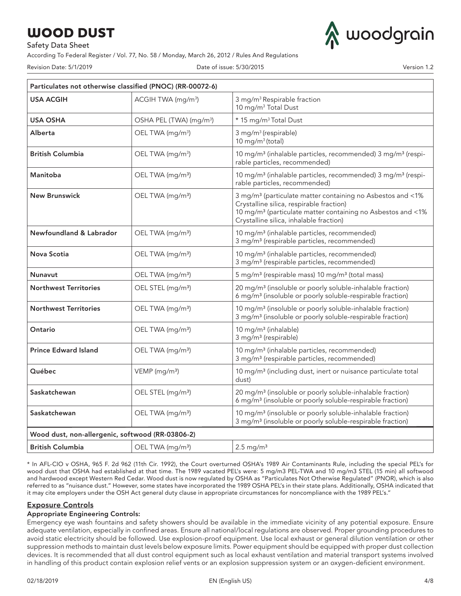Safety Data Sheet

According To Federal Register / Vol. 77, No. 58 / Monday, March 26, 2012 / Rules And Regulations

Revision Date: 5/1/2019 Date of issue: 5/30/2015 Version 1.2

woodgrain

| Particulates not otherwise classified (PNOC) (RR-00072-6) |                                     |                                                                                                                                                                                                                                          |  |
|-----------------------------------------------------------|-------------------------------------|------------------------------------------------------------------------------------------------------------------------------------------------------------------------------------------------------------------------------------------|--|
| <b>USA ACGIH</b>                                          | ACGIH TWA (mg/m <sup>3</sup> )      | 3 mg/m <sup>3</sup> Respirable fraction<br>10 mg/m <sup>3</sup> Total Dust                                                                                                                                                               |  |
| <b>USA OSHA</b>                                           | OSHA PEL (TWA) (mg/m <sup>3</sup> ) | * 15 mg/m <sup>3</sup> Total Dust                                                                                                                                                                                                        |  |
| Alberta                                                   | OEL TWA (mg/m <sup>3</sup> )        | 3 mg/m <sup>3</sup> (respirable)<br>10 mg/m $3$ (total)                                                                                                                                                                                  |  |
| <b>British Columbia</b>                                   | OEL TWA (mg/m <sup>3</sup> )        | 10 mg/m <sup>3</sup> (inhalable particles, recommended) 3 mg/m <sup>3</sup> (respi-<br>rable particles, recommended)                                                                                                                     |  |
| Manitoba                                                  | OEL TWA (mg/m <sup>3</sup> )        | 10 mg/m <sup>3</sup> (inhalable particles, recommended) 3 mg/m <sup>3</sup> (respi-<br>rable particles, recommended)                                                                                                                     |  |
| <b>New Brunswick</b>                                      | OEL TWA (mg/m <sup>3</sup> )        | 3 mg/m <sup>3</sup> (particulate matter containing no Asbestos and <1%<br>Crystalline silica, respirable fraction)<br>10 mg/m <sup>3</sup> (particulate matter containing no Asbestos and <1%<br>Crystalline silica, inhalable fraction) |  |
| Newfoundland & Labrador                                   | OEL TWA (mg/m <sup>3</sup> )        | 10 mg/m <sup>3</sup> (inhalable particles, recommended)<br>3 mg/m <sup>3</sup> (respirable particles, recommended)                                                                                                                       |  |
| Nova Scotia                                               | OEL TWA (mg/m <sup>3</sup> )        | 10 mg/m <sup>3</sup> (inhalable particles, recommended)<br>3 mg/m <sup>3</sup> (respirable particles, recommended)                                                                                                                       |  |
| Nunavut                                                   | OEL TWA (mg/m <sup>3</sup> )        | 5 mg/m <sup>3</sup> (respirable mass) 10 mg/m <sup>3</sup> (total mass)                                                                                                                                                                  |  |
| <b>Northwest Territories</b>                              | OEL STEL (mg/m <sup>3</sup> )       | 20 mg/m <sup>3</sup> (insoluble or poorly soluble-inhalable fraction)<br>6 mg/m <sup>3</sup> (insoluble or poorly soluble-respirable fraction)                                                                                           |  |
| <b>Northwest Territories</b>                              | OEL TWA (mg/m <sup>3</sup> )        | 10 mg/m <sup>3</sup> (insoluble or poorly soluble-inhalable fraction)<br>3 mg/m <sup>3</sup> (insoluble or poorly soluble-respirable fraction)                                                                                           |  |
| Ontario                                                   | OEL TWA (mg/m <sup>3</sup> )        | 10 mg/m <sup>3</sup> (inhalable)<br>3 mg/m <sup>3</sup> (respirable)                                                                                                                                                                     |  |
| <b>Prince Edward Island</b>                               | OEL TWA (mg/m <sup>3</sup> )        | 10 mg/m <sup>3</sup> (inhalable particles, recommended)<br>3 mg/m <sup>3</sup> (respirable particles, recommended)                                                                                                                       |  |
| Québec                                                    | VEMP (mg/m <sup>3</sup> )           | 10 mg/m <sup>3</sup> (including dust, inert or nuisance particulate total<br>dust)                                                                                                                                                       |  |
| Saskatchewan                                              | OEL STEL (mg/m <sup>3</sup> )       | 20 mg/m <sup>3</sup> (insoluble or poorly soluble-inhalable fraction)<br>6 mg/m <sup>3</sup> (insoluble or poorly soluble-respirable fraction)                                                                                           |  |
| Saskatchewan                                              | OEL TWA (mg/m <sup>3</sup> )        | 10 mg/m <sup>3</sup> (insoluble or poorly soluble-inhalable fraction)<br>3 mg/m <sup>3</sup> (insoluble or poorly soluble-respirable fraction)                                                                                           |  |
| Wood dust, non-allergenic, softwood (RR-03806-2)          |                                     |                                                                                                                                                                                                                                          |  |
| <b>British Columbia</b>                                   | OEL TWA (mg/m <sup>3</sup> )        | $2.5 \text{ mg/m}^3$                                                                                                                                                                                                                     |  |

\* In AFL-CIO v OSHA, 965 F. 2d 962 (11th Cir. 1992), the Court overturned OSHA's 1989 Air Contaminants Rule, including the special PEL's for wood dust that OSHA had established at that time. The 1989 vacated PEL's were: 5 mg/m3 PEL-TWA and 10 mg/m3 STEL (15 min) all softwood and hardwood except Western Red Cedar. Wood dust is now regulated by OSHA as "Particulates Not Otherwise Regulated" (PNOR), which is also referred to as "nuisance dust." However, some states have incorporated the 1989 OSHA PEL's in their state plans. Additionally, OSHA indicated that it may cite employers under the OSH Act general duty clause in appropriate circumstances for noncompliance with the 1989 PEL's."

## Exposure Controls

### Appropriate Engineering Controls:

Emergency eye wash fountains and safety showers should be available in the immediate vicinity of any potential exposure. Ensure adequate ventilation, especially in confined areas. Ensure all national/local regulations are observed. Proper grounding procedures to avoid static electricity should be followed. Use explosion-proof equipment. Use local exhaust or general dilution ventilation or other suppression methods to maintain dust levels below exposure limits. Power equipment should be equipped with proper dust collection devices. It is recommended that all dust control equipment such as local exhaust ventilation and material transport systems involved in handling of this product contain explosion relief vents or an explosion suppression system or an oxygen-deficient environment.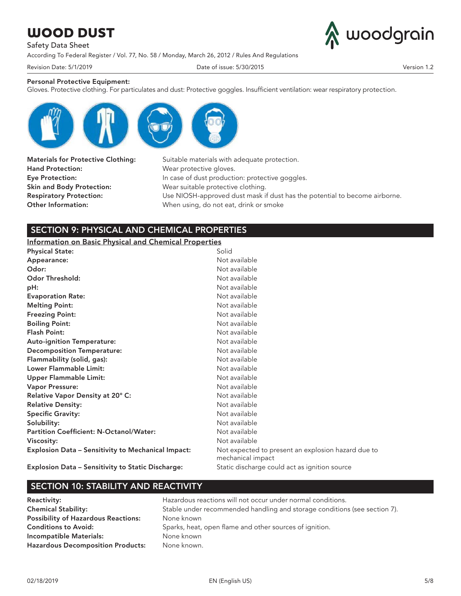Safety Data Sheet

According To Federal Register / Vol. 77, No. 58 / Monday, March 26, 2012 / Rules And Regulations



Revision Date: 5/1/2019 Date of issue: 5/30/2015 Version 1.2

### Personal Protective Equipment:

Gloves. Protective clothing. For particulates and dust: Protective goggles. Insufficient ventilation: wear respiratory protection.



Hand Protection: Wear protective gloves. Skin and Body Protection: Wear suitable protective clothing.

Materials for Protective Clothing: Suitable materials with adequate protection. Eye Protection: **In case of dust production: protective goggles.** Respiratory Protection: Use NIOSH-approved dust mask if dust has the potential to become airborne. Other Information: When using, do not eat, drink or smoke

# SECTION 9: PHYSICAL AND CHEMICAL PROPERTIES

## Information on Basic Physical and Chemical Properties

| <b>Physical State:</b>                                    | Solid                                                                   |
|-----------------------------------------------------------|-------------------------------------------------------------------------|
| Appearance:                                               | Not available                                                           |
| Odor:                                                     | Not available                                                           |
| <b>Odor Threshold:</b>                                    | Not available                                                           |
| pH:                                                       | Not available                                                           |
| <b>Evaporation Rate:</b>                                  | Not available                                                           |
| <b>Melting Point:</b>                                     | Not available                                                           |
| <b>Freezing Point:</b>                                    | Not available                                                           |
| <b>Boiling Point:</b>                                     | Not available                                                           |
| <b>Flash Point:</b>                                       | Not available                                                           |
| <b>Auto-ignition Temperature:</b>                         | Not available                                                           |
| <b>Decomposition Temperature:</b>                         | Not available                                                           |
| Flammability (solid, gas):                                | Not available                                                           |
| Lower Flammable Limit:                                    | Not available                                                           |
| Upper Flammable Limit:                                    | Not available                                                           |
| <b>Vapor Pressure:</b>                                    | Not available                                                           |
| Relative Vapor Density at 20° C:                          | Not available                                                           |
| <b>Relative Density:</b>                                  | Not available                                                           |
| <b>Specific Gravity:</b>                                  | Not available                                                           |
| Solubility:                                               | Not available                                                           |
| <b>Partition Coefficient: N-Octanol/Water:</b>            | Not available                                                           |
| Viscosity:                                                | Not available                                                           |
| <b>Explosion Data – Sensitivity to Mechanical Impact:</b> | Not expected to present an explosion hazard due to<br>mechanical impact |
| Explosion Data – Sensitivity to Static Discharge:         | Static discharge could act as ignition source                           |

## SECTION 10: STABILITY AND REACTIVITY

Possibility of Hazardous Reactions: None known Incompatible Materials: None known Hazardous Decomposition Products: None known.

Reactivity: **Reactivity: Hazardous reactions will not occur under normal conditions.** Chemical Stability: Stable under recommended handling and storage conditions (see section 7). Conditions to Avoid: Sparks, heat, open flame and other sources of ignition.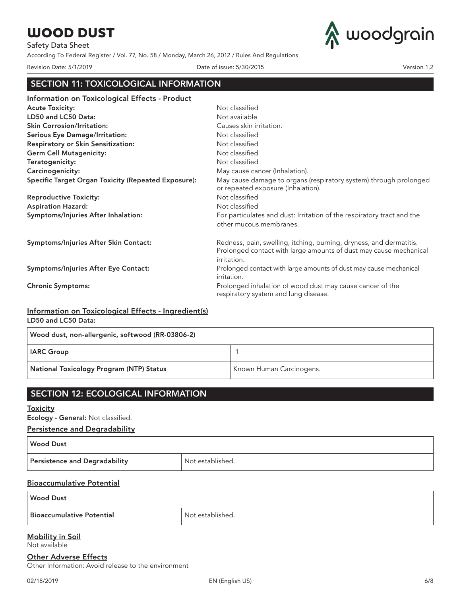Safety Data Sheet

According To Federal Register / Vol. 77, No. 58 / Monday, March 26, 2012 / Rules And Regulations



Revision Date: 5/1/2019 Date of issue: 5/30/2015 Version 1.2

# SECTION 11: TOXICOLOGICAL INFORMATION

| <u>Information on Toxicological Effects - Product</u>      |                                                                                                                                                         |
|------------------------------------------------------------|---------------------------------------------------------------------------------------------------------------------------------------------------------|
| <b>Acute Toxicity:</b>                                     | Not classified                                                                                                                                          |
| LD50 and LC50 Data:                                        | Not available                                                                                                                                           |
| <b>Skin Corrosion/Irritation:</b>                          | Causes skin irritation.                                                                                                                                 |
| <b>Serious Eye Damage/Irritation:</b>                      | Not classified                                                                                                                                          |
| Respiratory or Skin Sensitization:                         | Not classified                                                                                                                                          |
| <b>Germ Cell Mutagenicity:</b>                             | Not classified                                                                                                                                          |
| Teratogenicity:                                            | Not classified                                                                                                                                          |
| Carcinogenicity:                                           | May cause cancer (Inhalation).                                                                                                                          |
| <b>Specific Target Organ Toxicity (Repeated Exposure):</b> | May cause damage to organs (respiratory system) through prolonged<br>or repeated exposure (Inhalation).                                                 |
| <b>Reproductive Toxicity:</b>                              | Not classified                                                                                                                                          |
| <b>Aspiration Hazard:</b>                                  | Not classified                                                                                                                                          |
| Symptoms/Injuries After Inhalation:                        | For particulates and dust: Irritation of the respiratory tract and the                                                                                  |
|                                                            | other mucous membranes.                                                                                                                                 |
| Symptoms/Injuries After Skin Contact:                      | Redness, pain, swelling, itching, burning, dryness, and dermatitis.<br>Prolonged contact with large amounts of dust may cause mechanical<br>irritation. |
| Symptoms/Injuries After Eye Contact:                       | Prolonged contact with large amounts of dust may cause mechanical<br>irritation.                                                                        |
| <b>Chronic Symptoms:</b>                                   | Prolonged inhalation of wood dust may cause cancer of the<br>respiratory system and lung disease.                                                       |
|                                                            |                                                                                                                                                         |

### Information on Toxicological Effects - Ingredient(s) LD50 and LC50 Data:

| Wood dust, non-allergenic, softwood (RR-03806-2) |                          |  |
|--------------------------------------------------|--------------------------|--|
| <b>IARC Group</b>                                |                          |  |
| <b>National Toxicology Program (NTP) Status</b>  | Known Human Carcinogens. |  |

# SECTION 12: ECOLOGICAL INFORMATION

### **Toxicity**

Ecology - General: Not classified.

### Persistence and Degradability

| <b>Wood Dust</b>              |                  |
|-------------------------------|------------------|
| Persistence and Degradability | Not established. |

## Bioaccumulative Potential

### Wood Dust

Bioaccumulative Potential Not established.

#### Mobility in Soil Not available

# Other Adverse Effects

Other Information: Avoid release to the environment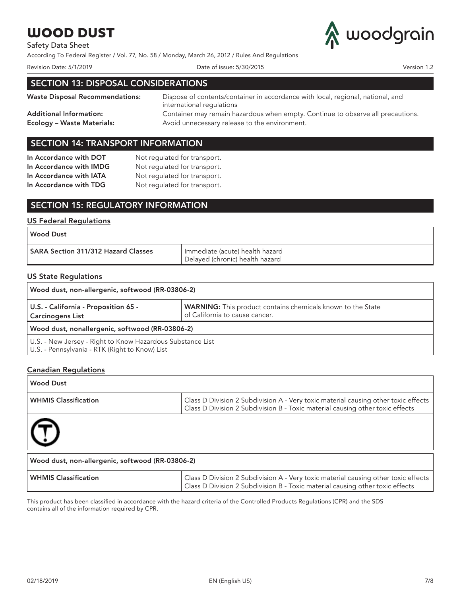# Safety Data Sheet

According To Federal Register / Vol. 77, No. 58 / Monday, March 26, 2012 / Rules And Regulations



Revision Date: 5/1/2019 Date of issue: 5/30/2015 Version 1.2

# SECTION 13: DISPOSAL CONSIDERATIONS

Waste Disposal Recommendations: Dispose of contents/container in accordance with local, regional, national, and international regulations Additional Information: Container may remain hazardous when empty. Continue to observe all precautions. Ecology – Waste Materials: Avoid unnecessary release to the environment.

## SECTION 14: TRANSPORT INFORMATION

| In Accordance with DOT  | Not regulated for transport. |
|-------------------------|------------------------------|
| In Accordance with IMDG | Not regulated for transport. |
| In Accordance with IATA | Not regulated for transport. |
| In Accordance with TDG  | Not regulated for transport. |
|                         |                              |

# SECTION 15: REGULATORY INFORMATION

## US Federal Regulations

| SARA Section 311/312 Hazard Classes | Immediate (acute) health hazard<br>Delayed (chronic) health hazard |
|-------------------------------------|--------------------------------------------------------------------|

### US State Regulations

| Wood dust, non-allergenic, softwood (RR-03806-2)                                                             |                                                                                                      |  |
|--------------------------------------------------------------------------------------------------------------|------------------------------------------------------------------------------------------------------|--|
| U.S. - California - Proposition 65 -<br><b>Carcinogens List</b>                                              | <b>WARNING:</b> This product contains chemicals known to the State<br>of California to cause cancer. |  |
| Wood dust, nonallergenic, softwood (RR-03806-2)                                                              |                                                                                                      |  |
| U.S. - New Jersey - Right to Know Hazardous Substance List<br>U.S. - Pennsylvania - RTK (Right to Know) List |                                                                                                      |  |

## Canadian Regulations

| <b>Wood Dust</b>                                 |                                                                                                                                                                     |
|--------------------------------------------------|---------------------------------------------------------------------------------------------------------------------------------------------------------------------|
| <b>WHMIS Classification</b>                      | Class D Division 2 Subdivision A - Very toxic material causing other toxic effects<br>Class D Division 2 Subdivision B - Toxic material causing other toxic effects |
| $\textcircled{t}$                                |                                                                                                                                                                     |
| Wood dust, non-allergenic, softwood (RR-03806-2) |                                                                                                                                                                     |
| <b>WHMIS Classification</b>                      | Class D Division 2 Subdivision A - Very toxic material causing other toxic effects<br>Class D Division 2 Subdivision B - Toxic material causing other toxic effects |

This product has been classified in accordance with the hazard criteria of the Controlled Products Regulations (CPR) and the SDS contains all of the information required by CPR.